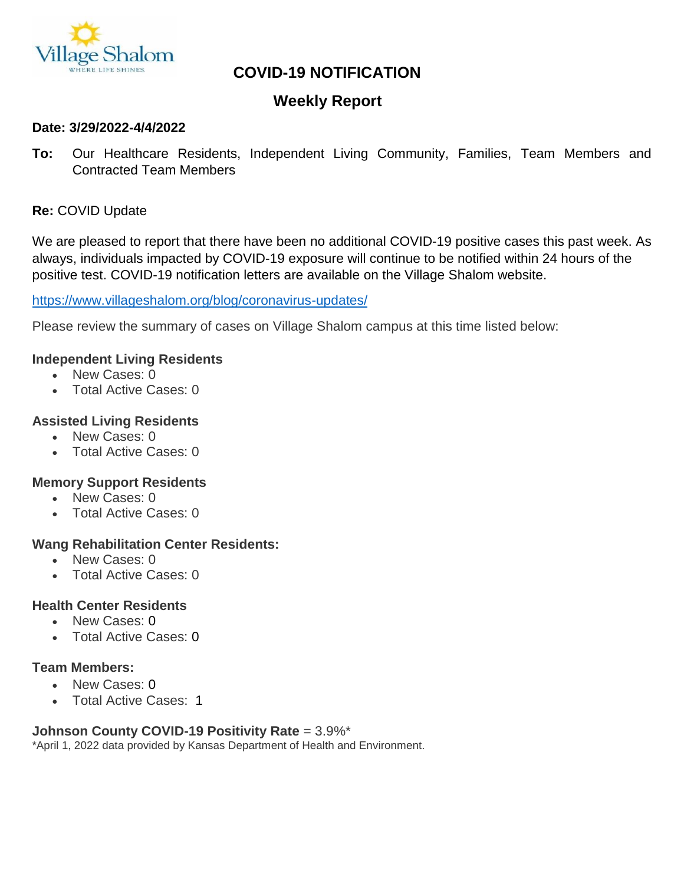

# **COVID-19 NOTIFICATION**

# **Weekly Report**

#### **Date: 3/29/2022-4/4/2022**

**To:** Our Healthcare Residents, Independent Living Community, Families, Team Members and Contracted Team Members

### **Re:** COVID Update

We are pleased to report that there have been no additional COVID-19 positive cases this past week. As always, individuals impacted by COVID-19 exposure will continue to be notified within 24 hours of the positive test. COVID-19 notification letters are available on the Village Shalom website.

#### <https://www.villageshalom.org/blog/coronavirus-updates/>

Please review the summary of cases on Village Shalom campus at this time listed below:

#### **Independent Living Residents**

- New Cases: 0
- Total Active Cases: 0

#### **Assisted Living Residents**

- New Cases: 0
- Total Active Cases: 0

#### **Memory Support Residents**

- New Cases: 0
- Total Active Cases: 0

#### **Wang Rehabilitation Center Residents:**

- New Cases: 0
- Total Active Cases: 0

#### **Health Center Residents**

- New Cases: 0
- Total Active Cases: 0

#### **Team Members:**

- New Cases: 0
- Total Active Cases: 1

#### **Johnson County COVID-19 Positivity Rate** = 3.9%\*

\*April 1, 2022 data provided by Kansas Department of Health and Environment.